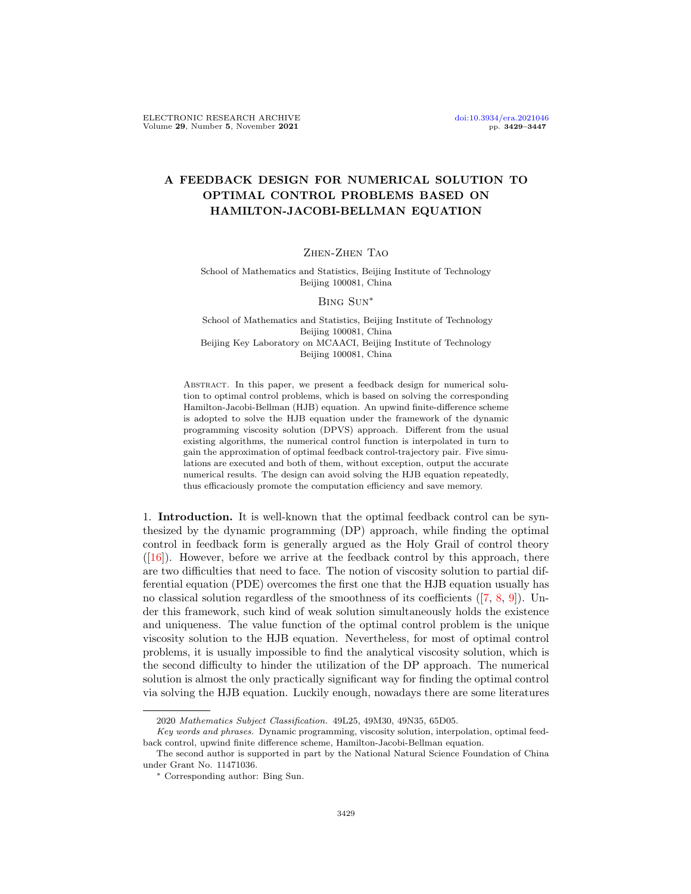# A FEEDBACK DESIGN FOR NUMERICAL SOLUTION TO OPTIMAL CONTROL PROBLEMS BASED ON HAMILTON-JACOBI-BELLMAN EQUATION

## Zhen-Zhen Tao

## School of Mathematics and Statistics, Beijing Institute of Technology Beijing 100081, China

#### Bing Sun∗

School of Mathematics and Statistics, Beijing Institute of Technology Beijing 100081, China Beijing Key Laboratory on MCAACI, Beijing Institute of Technology Beijing 100081, China

ABSTRACT. In this paper, we present a feedback design for numerical solution to optimal control problems, which is based on solving the corresponding Hamilton-Jacobi-Bellman (HJB) equation. An upwind finite-difference scheme is adopted to solve the HJB equation under the framework of the dynamic programming viscosity solution (DPVS) approach. Different from the usual existing algorithms, the numerical control function is interpolated in turn to gain the approximation of optimal feedback control-trajectory pair. Five simulations are executed and both of them, without exception, output the accurate numerical results. The design can avoid solving the HJB equation repeatedly, thus efficaciously promote the computation efficiency and save memory.

1. Introduction. It is well-known that the optimal feedback control can be synthesized by the dynamic programming (DP) approach, while finding the optimal control in feedback form is generally argued as the Holy Grail of control theory  $([16])$  $([16])$  $([16])$ . However, before we arrive at the feedback control by this approach, there are two difficulties that need to face. The notion of viscosity solution to partial differential equation (PDE) overcomes the first one that the HJB equation usually has no classical solution regardless of the smoothness of its coefficients  $([7, 8, 9])$  $([7, 8, 9])$  $([7, 8, 9])$  $([7, 8, 9])$  $([7, 8, 9])$  $([7, 8, 9])$  $([7, 8, 9])$ . Under this framework, such kind of weak solution simultaneously holds the existence and uniqueness. The value function of the optimal control problem is the unique viscosity solution to the HJB equation. Nevertheless, for most of optimal control problems, it is usually impossible to find the analytical viscosity solution, which is the second difficulty to hinder the utilization of the DP approach. The numerical solution is almost the only practically significant way for finding the optimal control via solving the HJB equation. Luckily enough, nowadays there are some literatures

<sup>2020</sup> Mathematics Subject Classification. 49L25, 49M30, 49N35, 65D05.

Key words and phrases. Dynamic programming, viscosity solution, interpolation, optimal feedback control, upwind finite difference scheme, Hamilton-Jacobi-Bellman equation.

The second author is supported in part by the National Natural Science Foundation of China under Grant No. 11471036.

<sup>∗</sup> Corresponding author: Bing Sun.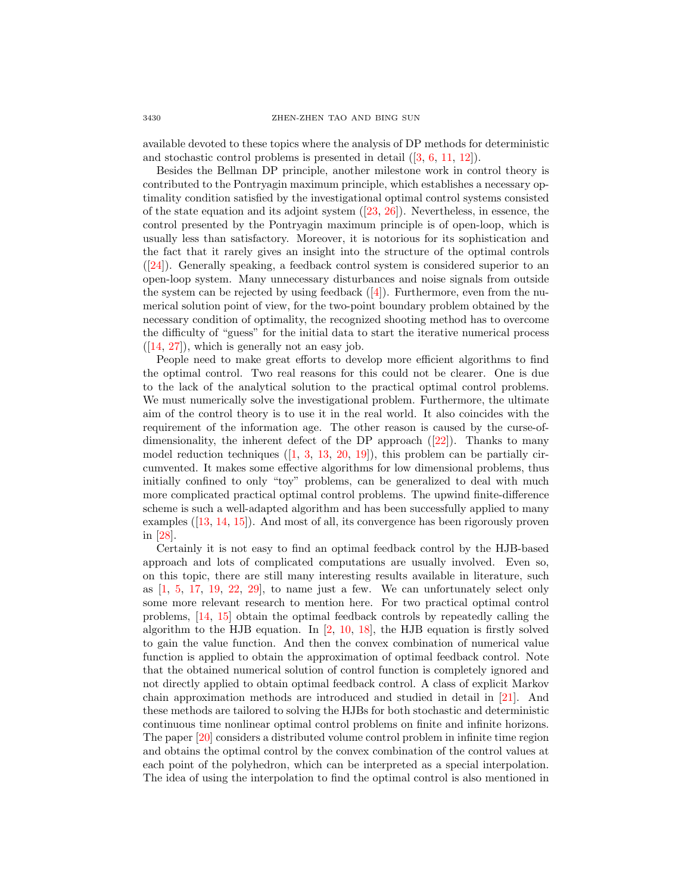available devoted to these topics where the analysis of DP methods for deterministic and stochastic control problems is presented in detail ([\[3,](#page-17-3) [6,](#page-17-4) [11,](#page-18-1) [12\]](#page-18-2)).

Besides the Bellman DP principle, another milestone work in control theory is contributed to the Pontryagin maximum principle, which establishes a necessary optimality condition satisfied by the investigational optimal control systems consisted of the state equation and its adjoint system  $(23, 26)$ . Nevertheless, in essence, the control presented by the Pontryagin maximum principle is of open-loop, which is usually less than satisfactory. Moreover, it is notorious for its sophistication and the fact that it rarely gives an insight into the structure of the optimal controls ([\[24\]](#page-18-5)). Generally speaking, a feedback control system is considered superior to an open-loop system. Many unnecessary disturbances and noise signals from outside the system can be rejected by using feedback  $([4])$  $([4])$  $([4])$ . Furthermore, even from the numerical solution point of view, for the two-point boundary problem obtained by the necessary condition of optimality, the recognized shooting method has to overcome the difficulty of "guess" for the initial data to start the iterative numerical process  $([14, 27])$  $([14, 27])$  $([14, 27])$  $([14, 27])$  $([14, 27])$ , which is generally not an easy job.

People need to make great efforts to develop more efficient algorithms to find the optimal control. Two real reasons for this could not be clearer. One is due to the lack of the analytical solution to the practical optimal control problems. We must numerically solve the investigational problem. Furthermore, the ultimate aim of the control theory is to use it in the real world. It also coincides with the requirement of the information age. The other reason is caused by the curse-ofdimensionality, the inherent defect of the DP approach ([\[22\]](#page-18-8)). Thanks to many model reduction techniques  $([1, 3, 13, 20, 19])$  $([1, 3, 13, 20, 19])$  $([1, 3, 13, 20, 19])$  $([1, 3, 13, 20, 19])$  $([1, 3, 13, 20, 19])$  $([1, 3, 13, 20, 19])$  $([1, 3, 13, 20, 19])$  $([1, 3, 13, 20, 19])$  $([1, 3, 13, 20, 19])$  $([1, 3, 13, 20, 19])$  $([1, 3, 13, 20, 19])$ , this problem can be partially circumvented. It makes some effective algorithms for low dimensional problems, thus initially confined to only "toy" problems, can be generalized to deal with much more complicated practical optimal control problems. The upwind finite-difference scheme is such a well-adapted algorithm and has been successfully applied to many examples ([\[13,](#page-18-9) [14,](#page-18-6) [15\]](#page-18-12)). And most of all, its convergence has been rigorously proven in [\[28\]](#page-18-13).

Certainly it is not easy to find an optimal feedback control by the HJB-based approach and lots of complicated computations are usually involved. Even so, on this topic, there are still many interesting results available in literature, such as  $\left[1, 5, 17, 19, 22, 29\right]$  $\left[1, 5, 17, 19, 22, 29\right]$  $\left[1, 5, 17, 19, 22, 29\right]$  $\left[1, 5, 17, 19, 22, 29\right]$  $\left[1, 5, 17, 19, 22, 29\right]$  $\left[1, 5, 17, 19, 22, 29\right]$  $\left[1, 5, 17, 19, 22, 29\right]$  $\left[1, 5, 17, 19, 22, 29\right]$  $\left[1, 5, 17, 19, 22, 29\right]$  $\left[1, 5, 17, 19, 22, 29\right]$  $\left[1, 5, 17, 19, 22, 29\right]$ , to name just a few. We can unfortunately select only some more relevant research to mention here. For two practical optimal control problems, [\[14,](#page-18-6) [15\]](#page-18-12) obtain the optimal feedback controls by repeatedly calling the algorithm to the HJB equation. In [\[2,](#page-17-8) [10,](#page-18-16) [18\]](#page-18-17), the HJB equation is firstly solved to gain the value function. And then the convex combination of numerical value function is applied to obtain the approximation of optimal feedback control. Note that the obtained numerical solution of control function is completely ignored and not directly applied to obtain optimal feedback control. A class of explicit Markov chain approximation methods are introduced and studied in detail in [\[21\]](#page-18-18). And these methods are tailored to solving the HJBs for both stochastic and deterministic continuous time nonlinear optimal control problems on finite and infinite horizons. The paper [\[20\]](#page-18-10) considers a distributed volume control problem in infinite time region and obtains the optimal control by the convex combination of the control values at each point of the polyhedron, which can be interpreted as a special interpolation. The idea of using the interpolation to find the optimal control is also mentioned in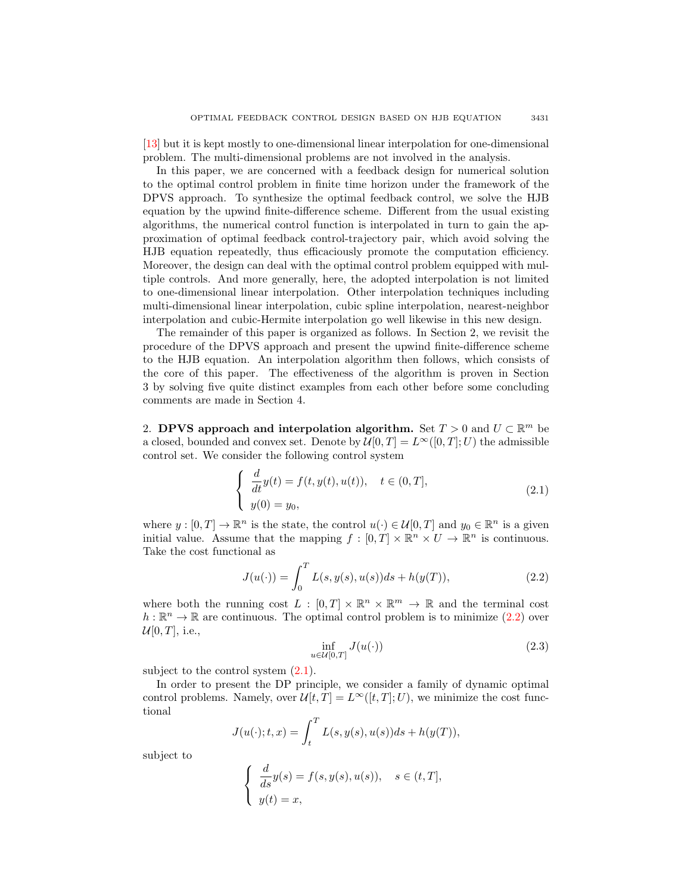[\[13\]](#page-18-9) but it is kept mostly to one-dimensional linear interpolation for one-dimensional problem. The multi-dimensional problems are not involved in the analysis.

In this paper, we are concerned with a feedback design for numerical solution to the optimal control problem in finite time horizon under the framework of the DPVS approach. To synthesize the optimal feedback control, we solve the HJB equation by the upwind finite-difference scheme. Different from the usual existing algorithms, the numerical control function is interpolated in turn to gain the approximation of optimal feedback control-trajectory pair, which avoid solving the HJB equation repeatedly, thus efficaciously promote the computation efficiency. Moreover, the design can deal with the optimal control problem equipped with multiple controls. And more generally, here, the adopted interpolation is not limited to one-dimensional linear interpolation. Other interpolation techniques including multi-dimensional linear interpolation, cubic spline interpolation, nearest-neighbor interpolation and cubic-Hermite interpolation go well likewise in this new design.

The remainder of this paper is organized as follows. In Section 2, we revisit the procedure of the DPVS approach and present the upwind finite-difference scheme to the HJB equation. An interpolation algorithm then follows, which consists of the core of this paper. The effectiveness of the algorithm is proven in Section 3 by solving five quite distinct examples from each other before some concluding comments are made in Section 4.

2. DPVS approach and interpolation algorithm. Set  $T > 0$  and  $U \subset \mathbb{R}^m$  be a closed, bounded and convex set. Denote by  $\mathcal{U}[0,T] = L^{\infty}([0,T];U)$  the admissible control set. We consider the following control system

<span id="page-2-1"></span>
$$
\begin{cases}\n\frac{d}{dt}y(t) = f(t, y(t), u(t)), \quad t \in (0, T], \\
y(0) = y_0,\n\end{cases}
$$
\n(2.1)

where  $y : [0, T] \to \mathbb{R}^n$  is the state, the control  $u(\cdot) \in \mathcal{U}[0, T]$  and  $y_0 \in \mathbb{R}^n$  is a given initial value. Assume that the mapping  $f : [0,T] \times \mathbb{R}^n \times U \to \mathbb{R}^n$  is continuous. Take the cost functional as

<span id="page-2-0"></span>
$$
J(u(\cdot)) = \int_0^T L(s, y(s), u(s))ds + h(y(T)),
$$
\n(2.2)

where both the running cost  $L : [0, T] \times \mathbb{R}^n \times \mathbb{R}^m \to \mathbb{R}$  and the terminal cost  $h : \mathbb{R}^n \to \mathbb{R}$  are continuous. The optimal control problem is to minimize  $(2.2)$  over  $\mathcal{U}[0,T]$ , i.e.,

<span id="page-2-2"></span>
$$
\inf_{u \in \mathcal{U}[0,T]} J(u(\cdot)) \tag{2.3}
$$

subject to the control system  $(2.1)$ .

In order to present the DP principle, we consider a family of dynamic optimal control problems. Namely, over  $\mathcal{U}[t, T] = L^{\infty}([t, T]; U)$ , we minimize the cost functional

$$
J(u(\cdot);t,x) = \int_t^T L(s,y(s),u(s))ds + h(y(T)),
$$

subject to

$$
\begin{cases}\n\frac{d}{ds}y(s) = f(s, y(s), u(s)), & s \in (t, T], \\
y(t) = x,\n\end{cases}
$$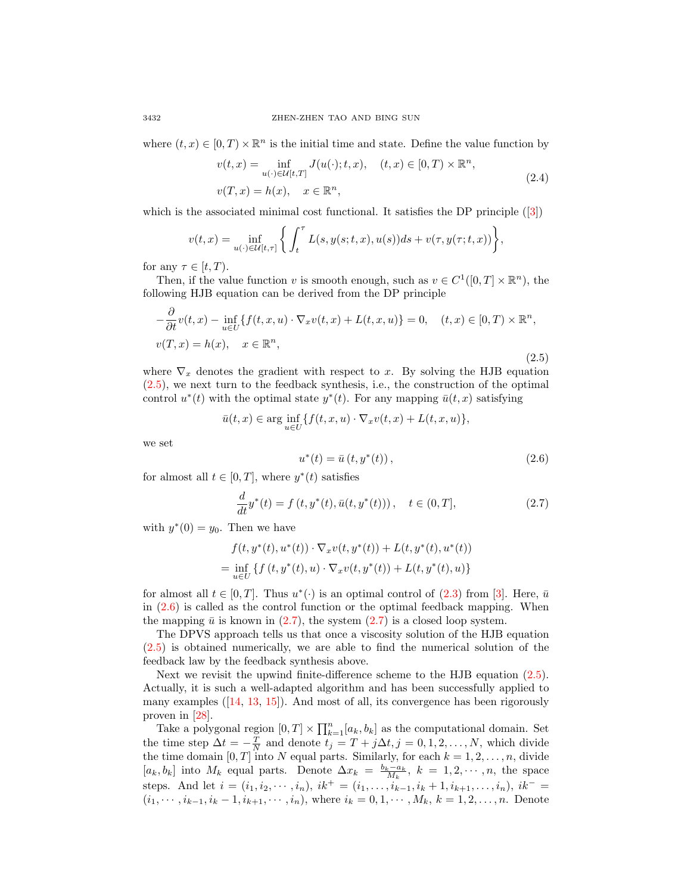where  $(t, x) \in [0, T) \times \mathbb{R}^n$  is the initial time and state. Define the value function by

$$
v(t,x) = \inf_{u(\cdot)\in\mathcal{U}[t,T]} J(u(\cdot);t,x), \quad (t,x) \in [0,T) \times \mathbb{R}^n,
$$
  

$$
v(T,x) = h(x), \quad x \in \mathbb{R}^n,
$$
 (2.4)

which is the associated minimal cost functional. It satisfies the DP principle ([\[3\]](#page-17-3))

$$
v(t,x) = \inf_{u(\cdot) \in \mathcal{U}[t,\tau]} \left\{ \int_t^\tau L(s,y(s;t,x),u(s))ds + v(\tau,y(\tau;t,x)) \right\},\,
$$

for any  $\tau \in [t, T)$ .

Then, if the value function v is smooth enough, such as  $v \in C^1([0,T] \times \mathbb{R}^n)$ , the following HJB equation can be derived from the DP principle

<span id="page-3-0"></span>
$$
-\frac{\partial}{\partial t}v(t,x) - \inf_{u \in U} \{ f(t,x,u) \cdot \nabla_x v(t,x) + L(t,x,u) \} = 0, \quad (t,x) \in [0,T) \times \mathbb{R}^n,
$$
  

$$
v(T,x) = h(x), \quad x \in \mathbb{R}^n,
$$
 (2.5)

where  $\nabla_x$  denotes the gradient with respect to x. By solving the HJB equation [\(2.5\)](#page-3-0), we next turn to the feedback synthesis, i.e., the construction of the optimal control  $u^*(t)$  with the optimal state  $y^*(t)$ . For any mapping  $\bar{u}(t, x)$  satisfying

$$
\bar{u}(t,x) \in \arg\inf_{u \in U} \{ f(t,x,u) \cdot \nabla_x v(t,x) + L(t,x,u) \},\
$$

we set

<span id="page-3-1"></span>
$$
u^*(t) = \bar{u}(t, y^*(t)),
$$
\n(2.6)

for almost all  $t \in [0, T]$ , where  $y^*(t)$  satisfies

<span id="page-3-2"></span>
$$
\frac{d}{dt}y^*(t) = f(t, y^*(t), \bar{u}(t, y^*(t))), \quad t \in (0, T],
$$
\n(2.7)

with  $y^*(0) = y_0$ . Then we have

$$
f(t, y^*(t), u^*(t)) \cdot \nabla_x v(t, y^*(t)) + L(t, y^*(t), u^*(t))
$$
  
= 
$$
\inf_{u \in U} \{ f(t, y^*(t), u) \cdot \nabla_x v(t, y^*(t)) + L(t, y^*(t), u) \}
$$

for almost all  $t \in [0, T]$ . Thus  $u^*(\cdot)$  is an optimal control of  $(2.3)$  from [\[3\]](#page-17-3). Here,  $\bar{u}$ in  $(2.6)$  is called as the control function or the optimal feedback mapping. When the mapping  $\bar{u}$  is known in [\(2.7\)](#page-3-2), the system (2.7) is a closed loop system.

The DPVS approach tells us that once a viscosity solution of the HJB equation [\(2.5\)](#page-3-0) is obtained numerically, we are able to find the numerical solution of the feedback law by the feedback synthesis above.

Next we revisit the upwind finite-difference scheme to the HJB equation [\(2.5\)](#page-3-0). Actually, it is such a well-adapted algorithm and has been successfully applied to many examples ([\[14,](#page-18-6) [13,](#page-18-9) [15\]](#page-18-12)). And most of all, its convergence has been rigorously proven in [\[28\]](#page-18-13).

Take a polygonal region  $[0, T] \times \prod_{k=1}^{n} [a_k, b_k]$  as the computational domain. Set the time step  $\Delta t = -\frac{T}{N}$  and denote  $t_j = T + j\Delta t, j = 0, 1, 2, ..., N$ , which divide the time domain [0, T] into N equal parts. Similarly, for each  $k = 1, 2, \ldots, n$ , divide  $[a_k, b_k]$  into  $M_k$  equal parts. Denote  $\Delta x_k = \frac{b_k - a_k}{M_k}$ ,  $k = 1, 2, \dots, n$ , the space steps. And let  $i = (i_1, i_2, \dots, i_n), i k^+ = (i_1, \dots, i_{k-1}, i_k + 1, i_{k+1}, \dots, i_n), i k^- =$  $(i_1, \dots, i_{k-1}, i_k-1, i_{k+1}, \dots, i_n)$ , where  $i_k = 0, 1, \dots, M_k$ ,  $k = 1, 2, \dots, n$ . Denote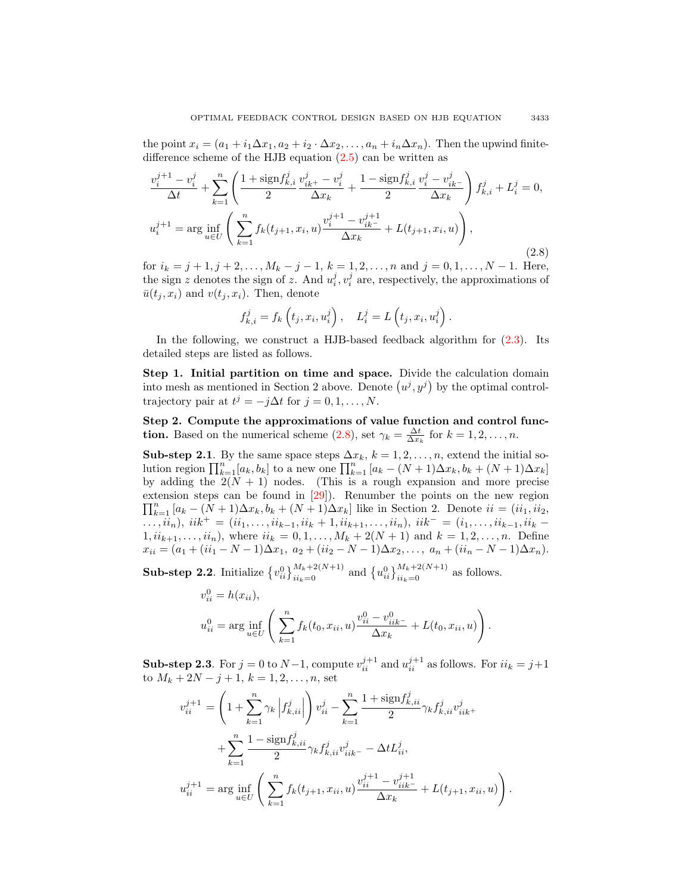the point  $x_i = (a_1 + i_1 \Delta x_1, a_2 + i_2 \Delta x_2, \ldots, a_n + i_n \Delta x_n)$ . Then the upwind finitedifference scheme of the HJB equation [\(2.5\)](#page-3-0) can be written as

<span id="page-4-0"></span>
$$
\frac{v_i^{j+1} - v_i^j}{\Delta t} + \sum_{k=1}^n \left( \frac{1 + \text{sign} f_{k,i}^j}{2} \frac{v_{ik}^j - v_i^j}{\Delta x_k} + \frac{1 - \text{sign} f_{k,i}^j}{2} \frac{v_i^j - v_{ik}^j}{\Delta x_k} \right) f_{k,i}^j + L_i^j = 0,
$$
\n
$$
u_i^{j+1} = \arg \inf_{u \in U} \left( \sum_{k=1}^n f_k(t_{j+1}, x_i, u) \frac{v_i^{j+1} - v_{ik}^{j+1}}{\Delta x_k} + L(t_{j+1}, x_i, u) \right),
$$
\n(2.8)

for  $i_k = j + 1, j + 2, \ldots, M_k - j - 1, k = 1, 2, \ldots, n$  and  $j = 0, 1, \ldots, N - 1$ . Here, the sign z denotes the sign of z. And  $u_i^j, v_i^j$  are, respectively, the approximations of  $\bar{u}(t_i, x_i)$  and  $v(t_i, x_i)$ . Then, denote

$$
f_{k,i}^j = f_k\left(t_j, x_i, u_i^j\right), \quad L_i^j = L\left(t_j, x_i, u_i^j\right).
$$

In the following, we construct a HJB-based feedback algorithm for [\(2.3\)](#page-2-2). Its detailed steps are listed as follows.

Step 1. Initial partition on time and space. Divide the calculation domain into mesh as mentioned in Section 2 above. Denote  $(u^j, y^j)$  by the optimal controltrajectory pair at  $t^j = -j\Delta t$  for  $j = 0, 1, ..., N$ .

Step 2. Compute the approximations of value function and control func**tion.** Based on the numerical scheme  $(2.8)$ , set  $\gamma_k = \frac{\Delta t}{\Delta x_k}$  for  $k = 1, 2, ..., n$ .

Sub-step 2.1. By the same space steps  $\Delta x_k$ ,  $k = 1, 2, ..., n$ , extend the initial solution region  $\prod_{k=1}^{n} [a_k, b_k]$  to a new one  $\prod_{k=1}^{n} [a_k - (N+1)\Delta x_k, b_k + (N+1)\Delta x_k]$ by adding the  $2(N + 1)$  nodes. (This is a rough expansion and more precise extension steps can be found in [ [29\]](#page-18-15)). Renumber the points on the new region  $\prod_{k=1}^n [a_k - (N+1)\Delta x_k, b_k + (N+1)\Delta x_k]$  like in Section 2. Denote  $ii = (ii_1, ii_2, ...)$  $\ldots, i i_n$ ,  $iik^+ = (i i_1, \ldots, i i_{k-1}, i i_k + 1, i i_{k+1}, \ldots, i i_n)$ ,  $iik^- = (i_1, \ldots, i i_{k-1}, i i_k - 1)$  $1, ii_{k+1}, \ldots, ii_n$ , where  $ii_k = 0, 1, \ldots, M_k + 2(N + 1)$  and  $k = 1, 2, \ldots, n$ . Define  $x_{ii} = (a_1 + (ii_1 - N - 1)\Delta x_1, a_2 + (ii_2 - N - 1)\Delta x_2, \ldots, a_n + (ii_n - N - 1)\Delta x_n).$ 

**Sub-step 2.2**. Initialize  $\{v_{ii}^0\}_{ii_k=0}^{M_k+2(N+1)}$  and  $\{u_{ii}^0\}_{ii_k=0}^{M_k+2(N+1)}$  as follows.

$$
v_{ii}^{0} = h(x_{ii}),
$$
  

$$
u_{ii}^{0} = \arg\inf_{u \in U} \left( \sum_{k=1}^{n} f_k(t_0, x_{ii}, u) \frac{v_{ii}^{0} - v_{iik}^{0}}{\Delta x_k} + L(t_0, x_{ii}, u) \right).
$$

**Sub-step 2.3**. For  $j = 0$  to  $N-1$ , compute  $v_{ii}^{j+1}$  and  $u_{ii}^{j+1}$  as follows. For  $ii_k = j+1$ to  $M_k + 2N - j + 1$ ,  $k = 1, 2, ..., n$ , set

$$
v_{ii}^{j+1} = \left(1 + \sum_{k=1}^{n} \gamma_k \left| f_{k,ii}^j \right| \right) v_{ii}^j - \sum_{k=1}^{n} \frac{1 + \text{sign} f_{k,ii}^j}{2} \gamma_k f_{k,ii}^j v_{iik}^j + \sum_{k=1}^{n} \frac{1 - \text{sign} f_{k,ii}^j}{2} \gamma_k f_{k,ii}^j v_{iik}^j - \Delta t L_{ii}^j,
$$
  

$$
u_{ii}^{j+1} = \arg \inf_{u \in U} \left( \sum_{k=1}^{n} f_k(t_{j+1}, x_{ii}, u) \frac{v_{ii}^{j+1} - v_{iik}^{j+1}}{\Delta x_k} + L(t_{j+1}, x_{ii}, u) \right).
$$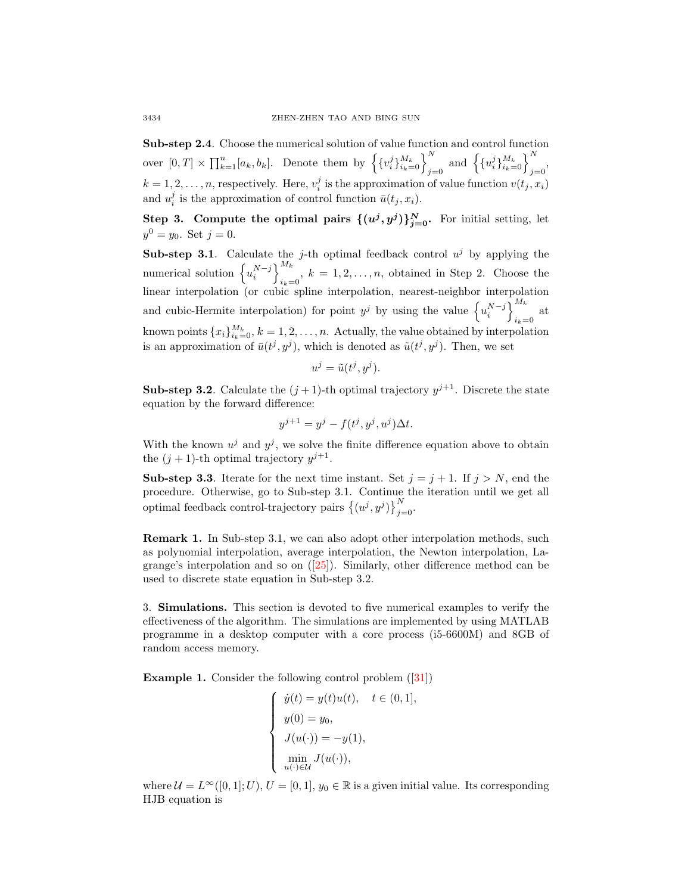Sub-step 2.4. Choose the numerical solution of value function and control function over  $[0, T] \times \prod_{k=1}^{n} [a_k, b_k]$ . Denote them by  $\left\{ \{v_i^j\}_{i_k=0}^{M_k} \right\}_{j=0}^N$  and  $\left\{ \{u_i^j\}_{i_k=0}^{M_k} \right\}_{j=0}^N$  $k = 1, 2, \ldots, n$ , respectively. Here,  $v_i^j$  is the approximation of value function  $v(t_j, x_i)$ and  $u_i^j$  is the approximation of control function  $\bar{u}(t_j, x_i)$ .

Step 3. Compute the optimal pairs  $\{(u^j, y^j)\}_{j=0}^N$ . For initial setting, let  $y^0 = y_0$ . Set  $j = 0$ .

**Sub-step 3.1.** Calculate the j-th optimal feedback control  $u^j$  by applying the numerical solution  $\left\{ u_i^{N-j} \right\}^{M_k}$  $i_k=0$ ,  $k=1,2,\ldots,n$ , obtained in Step 2. Choose the linear interpolation (or cubic spline interpolation, nearest-neighbor interpolation and cubic-Hermite interpolation) for point  $y^j$  by using the value  $\{u_i^{N-j}\}\}^{M_k}$  $i_k=0$  at known points  ${x_i}_{i_k=0}^{M_k}, k = 1, 2, ..., n$ . Actually, the value obtained by interpolation is an approximation of  $\bar{u}(t^j, y^j)$ , which is denoted as  $\tilde{u}(t^j, y^j)$ . Then, we set

$$
u^j = \tilde{u}(t^j, y^j).
$$

**Sub-step 3.2**. Calculate the  $(j + 1)$ -th optimal trajectory  $y^{j+1}$ . Discrete the state equation by the forward difference:

$$
y^{j+1} = y^j - f(t^j, y^j, u^j) \Delta t.
$$

With the known  $u^j$  and  $y^j$ , we solve the finite difference equation above to obtain the  $(j + 1)$ -th optimal trajectory  $y^{j+1}$ .

**Sub-step 3.3.** Iterate for the next time instant. Set  $j = j + 1$ . If  $j > N$ , end the procedure. Otherwise, go to Sub-step 3.1. Continue the iteration until we get all optimal feedback control-trajectory pairs  $\{(u^j, y^j)\}_{j=0}^N$ .

Remark 1. In Sub-step 3.1, we can also adopt other interpolation methods, such as polynomial interpolation, average interpolation, the Newton interpolation, Lagrange's interpolation and so on  $([25])$  $([25])$  $([25])$ . Similarly, other difference method can be used to discrete state equation in Sub-step 3.2.

3. Simulations. This section is devoted to five numerical examples to verify the effectiveness of the algorithm. The simulations are implemented by using MATLAB programme in a desktop computer with a core process (i5-6600M) and 8GB of random access memory.

**Example 1.** Consider the following control problem  $([31])$  $([31])$  $([31])$ 

$$
\begin{cases}\n\dot{y}(t) = y(t)u(t), & t \in (0,1], \\
y(0) = y_0, \\
J(u(\cdot)) = -y(1), \\
\min_{u(\cdot) \in \mathcal{U}} J(u(\cdot)),\n\end{cases}
$$

where  $\mathcal{U} = L^{\infty}([0,1];U), U = [0,1], y_0 \in \mathbb{R}$  is a given initial value. Its corresponding HJB equation is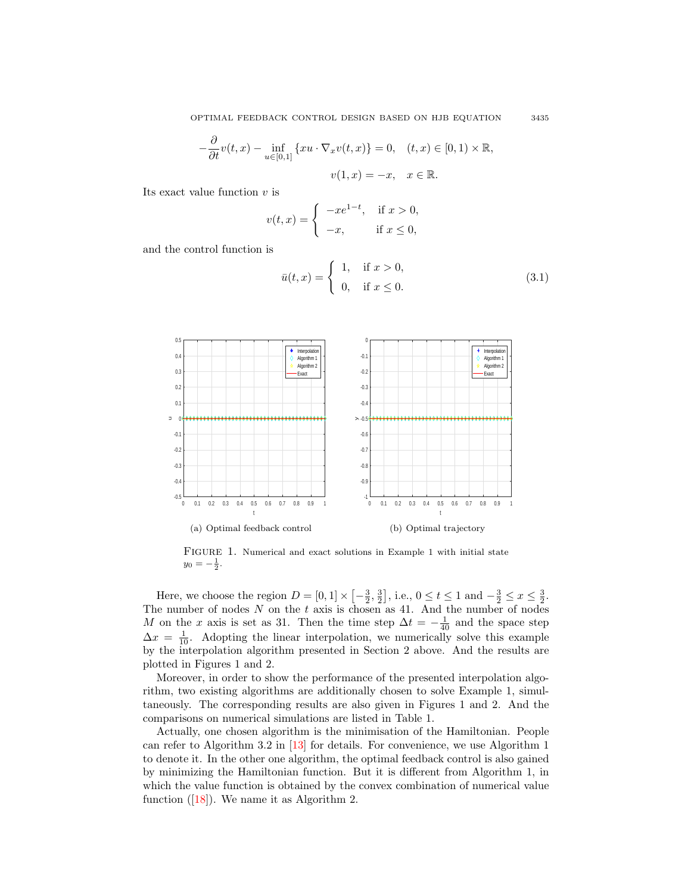OPTIMAL FEEDBACK CONTROL DESIGN BASED ON HJB EQUATION 3435

$$
-\frac{\partial}{\partial t}v(t,x) - \inf_{u \in [0,1]} \{xu \cdot \nabla_x v(t,x)\} = 0, \quad (t,x) \in [0,1) \times \mathbb{R},
$$

$$
v(1,x) = -x, \quad x \in \mathbb{R}.
$$

Its exact value function  $v$  is

$$
v(t,x) = \begin{cases} -xe^{1-t}, & \text{if } x > 0, \\ -x, & \text{if } x \le 0, \end{cases}
$$

<span id="page-6-0"></span>and the control function is

$$
\bar{u}(t,x) = \begin{cases} 1, & \text{if } x > 0, \\ 0, & \text{if } x \le 0. \end{cases}
$$
 (3.1)



FIGURE 1. Numerical and exact solutions in Example 1 with initial state  $y_0 = -\frac{1}{2}.$ 

Here, we choose the region  $D = [0, 1] \times [-\frac{3}{2}, \frac{3}{2}]$ , i.e.,  $0 \le t \le 1$  and  $-\frac{3}{2} \le x \le \frac{3}{2}$ . The number of nodes  $N$  on the  $t$  axis is chosen as 41. And the number of nodes M on the x axis is set as 31. Then the time step  $\Delta t = -\frac{1}{40}$  and the space step  $\Delta x = \frac{1}{10}$ . Adopting the linear interpolation, we numerically solve this example by the interpolation algorithm presented in Section 2 above. And the results are plotted in Figures 1 and 2.

Moreover, in order to show the performance of the presented interpolation algorithm, two existing algorithms are additionally chosen to solve Example 1, simultaneously. The corresponding results are also given in Figures 1 and 2. And the comparisons on numerical simulations are listed in Table 1.

Actually, one chosen algorithm is the minimisation of the Hamiltonian. People can refer to Algorithm 3.2 in [\[13\]](#page-18-9) for details. For convenience, we use Algorithm 1 to denote it. In the other one algorithm, the optimal feedback control is also gained by minimizing the Hamiltonian function. But it is different from Algorithm 1, in which the value function is obtained by the convex combination of numerical value function  $([18])$  $([18])$  $([18])$ . We name it as Algorithm 2.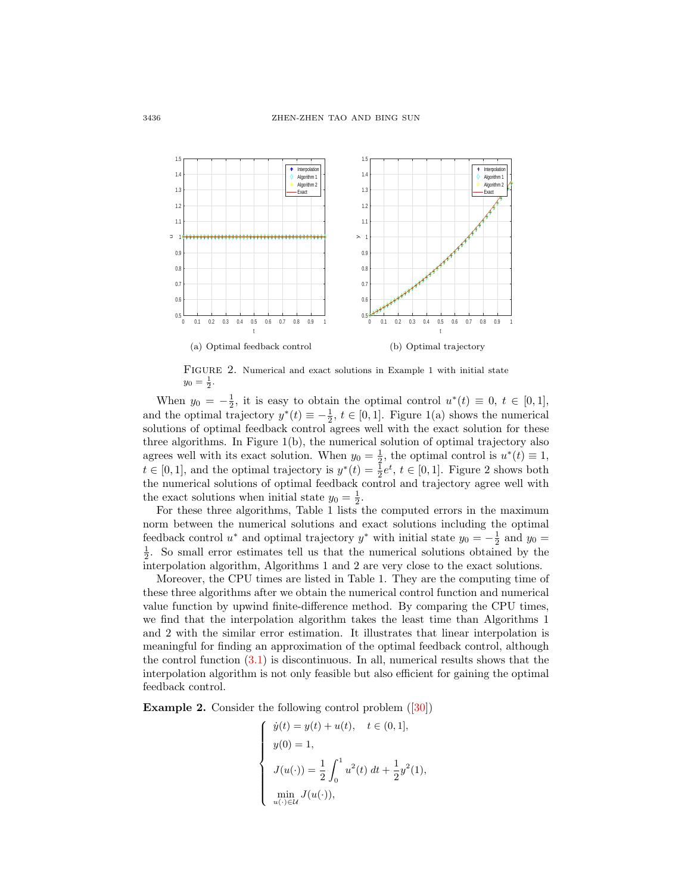

FIGURE 2. Numerical and exact solutions in Example 1 with initial state  $y_0 = \frac{1}{2}$ .

When  $y_0 = -\frac{1}{2}$ , it is easy to obtain the optimal control  $u^*(t) \equiv 0, t \in [0,1]$ , and the optimal trajectory  $y^*(t) \equiv -\frac{1}{2}$ ,  $t \in [0, 1]$ . Figure 1(a) shows the numerical solutions of optimal feedback control agrees well with the exact solution for these three algorithms. In Figure  $1(b)$ , the numerical solution of optimal trajectory also agrees well with its exact solution. When  $y_0 = \frac{1}{2}$ , the optimal control is  $u^*(t) \equiv 1$ ,  $t \in [0,1]$ , and the optimal trajectory is  $y^*(t) = \frac{1}{2}e^t$ ,  $t \in [0,1]$ . Figure 2 shows both the numerical solutions of optimal feedback control and trajectory agree well with the exact solutions when initial state  $y_0 = \frac{1}{2}$ .

For these three algorithms, Table 1 lists the computed errors in the maximum norm between the numerical solutions and exact solutions including the optimal feedback control  $u^*$  and optimal trajectory  $y^*$  with initial state  $y_0 = -\frac{1}{2}$  and  $y_0 =$  $\frac{1}{2}$ . So small error estimates tell us that the numerical solutions obtained by the interpolation algorithm, Algorithms 1 and 2 are very close to the exact solutions.

Moreover, the CPU times are listed in Table 1. They are the computing time of these three algorithms after we obtain the numerical control function and numerical value function by upwind finite-difference method. By comparing the CPU times, we find that the interpolation algorithm takes the least time than Algorithms 1 and 2 with the similar error estimation. It illustrates that linear interpolation is meaningful for finding an approximation of the optimal feedback control, although the control function [\(3.1\)](#page-6-0) is discontinuous. In all, numerical results shows that the interpolation algorithm is not only feasible but also efficient for gaining the optimal feedback control.

Example 2. Consider the following control problem ([\[30\]](#page-18-21))

$$
\begin{cases}\n\dot{y}(t) = y(t) + u(t), \quad t \in (0, 1], \\
y(0) = 1, \\
J(u(\cdot)) = \frac{1}{2} \int_0^1 u^2(t) \, dt + \frac{1}{2} y^2(1), \\
\min_{u(\cdot) \in \mathcal{U}} J(u(\cdot)),\n\end{cases}
$$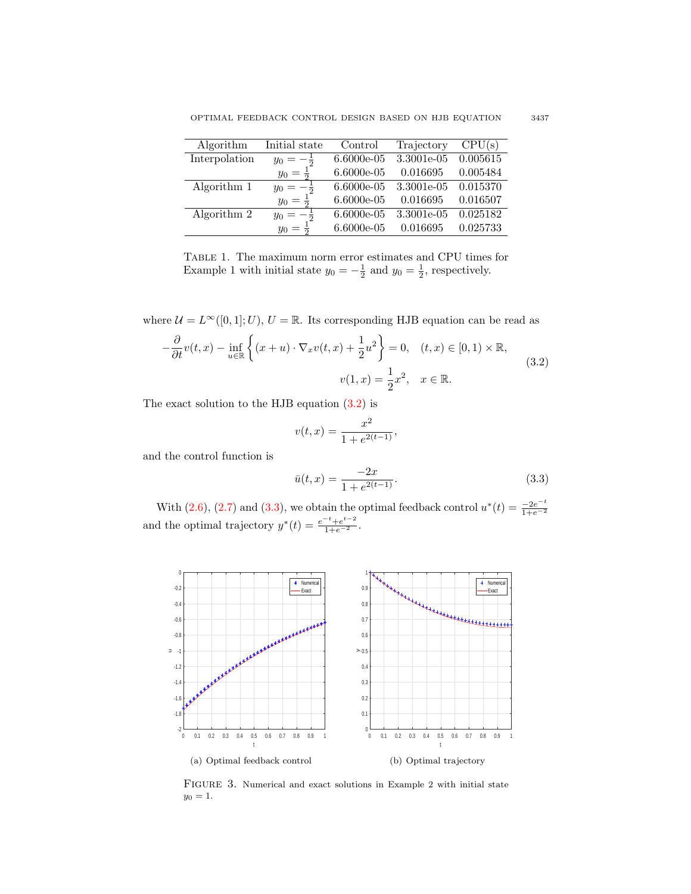| Algorithm     | Initial state | Control      | Trajectory | CPU(s)   |
|---------------|---------------|--------------|------------|----------|
| Interpolation | $y_0 =$       | 6.6000e-05   | 3.3001e-05 | 0.005615 |
|               | $y_0 =$       | 6.6000e-05   | 0.016695   | 0.005484 |
| Algorithm 1   | $y_0 =$       | $6.6000e-05$ | 3.3001e-05 | 0.015370 |
|               | $y_0 =$       | 6.6000e-05   | 0.016695   | 0.016507 |
| Algorithm 2   | $y_0 =$       | 6.6000e-05   | 3.3001e-05 | 0.025182 |
|               | $y_0 =$       | $6.6000e-05$ | 0.016695   | 0.025733 |

Table 1. The maximum norm error estimates and CPU times for Example 1 with initial state  $y_0 = -\frac{1}{2}$  and  $y_0 = \frac{1}{2}$ , respectively.

where  $\mathcal{U}=L^{\infty}([0,1];U),$   $U=\mathbb{R}.$  Its corresponding HJB equation can be read as

<span id="page-8-0"></span>
$$
-\frac{\partial}{\partial t}v(t,x) - \inf_{u \in \mathbb{R}} \left\{ (x+u) \cdot \nabla_x v(t,x) + \frac{1}{2}u^2 \right\} = 0, \quad (t,x) \in [0,1) \times \mathbb{R},
$$
  

$$
v(1,x) = \frac{1}{2}x^2, \quad x \in \mathbb{R}.
$$
 (3.2)

The exact solution to the HJB equation [\(3.2\)](#page-8-0) is

$$
v(t,x) = \frac{x^2}{1 + e^{2(t-1)}},
$$

<span id="page-8-1"></span>and the control function is

$$
\bar{u}(t,x) = \frac{-2x}{1 + e^{2(t-1)}}.\tag{3.3}
$$

With  $(2.6)$ ,  $(2.7)$  and  $(3.3)$ , we obtain the optimal feedback control  $u^*(t) = \frac{-2e^{-t}}{1+e^{-2}}$  $\frac{1+e^{-2}}{1+e^{-2}}$ and the optimal trajectory  $y^*(t) = \frac{e^{-t} + e^{t-2}}{1 + e^{-2}}$ .



FIGURE 3. Numerical and exact solutions in Example 2 with initial state  $y_0 = 1.$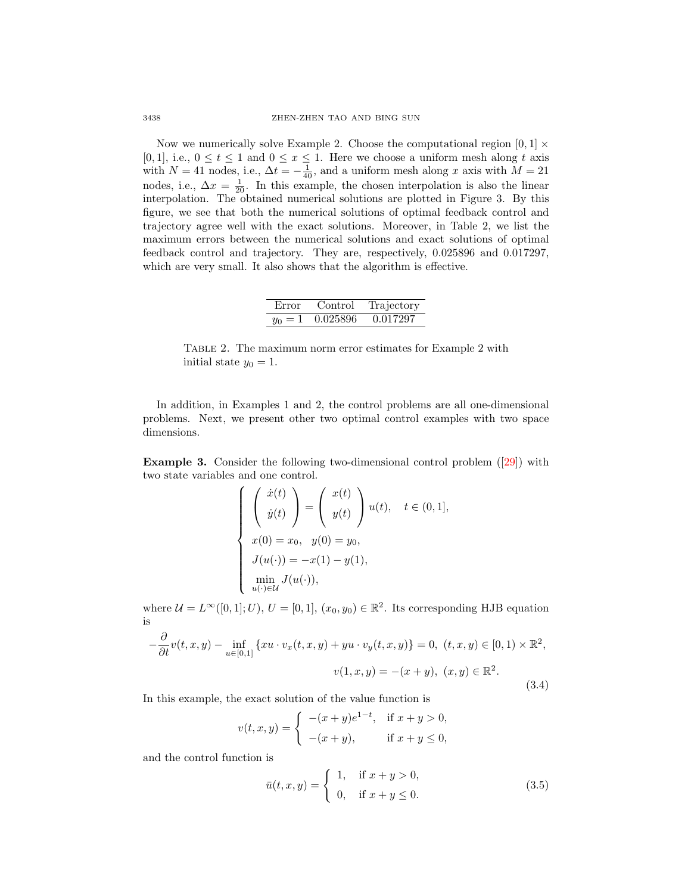Now we numerically solve Example 2. Choose the computational region  $[0, 1] \times$ [0, 1], i.e.,  $0 \le t \le 1$  and  $0 \le x \le 1$ . Here we choose a uniform mesh along t axis with  $N = 41$  nodes, i.e.,  $\Delta t = -\frac{1}{40}$ , and a uniform mesh along x axis with  $M = 21$ nodes, i.e.,  $\Delta x = \frac{1}{20}$ . In this example, the chosen interpolation is also the linear interpolation. The obtained numerical solutions are plotted in Figure 3. By this figure, we see that both the numerical solutions of optimal feedback control and trajectory agree well with the exact solutions. Moreover, in Table 2, we list the maximum errors between the numerical solutions and exact solutions of optimal feedback control and trajectory. They are, respectively, 0.025896 and 0.017297, which are very small. It also shows that the algorithm is effective.

| Error     | Control. | Trajectory |
|-----------|----------|------------|
| $y_0 = 1$ | 0.025896 | 0.017297   |

Table 2. The maximum norm error estimates for Example 2 with initial state  $y_0 = 1$ .

In addition, in Examples 1 and 2, the control problems are all one-dimensional problems. Next, we present other two optimal control examples with two space dimensions.

Example 3. Consider the following two-dimensional control problem ([\[29\]](#page-18-15)) with two state variables and one control.

$$
\begin{cases}\n\left(\begin{array}{c}\n\dot{x}(t) \\
\dot{y}(t)\n\end{array}\right) = \left(\begin{array}{c}\nx(t) \\
y(t)\n\end{array}\right)u(t), \quad t \in (0, 1], \\
x(0) = x_0, \quad y(0) = y_0, \\
J(u(\cdot)) = -x(1) - y(1), \\
\min_{u(\cdot) \in \mathcal{U}} J(u(\cdot)),\n\end{cases}
$$

where  $\mathcal{U} = L^{\infty}([0,1]; U), U = [0,1], (x_0, y_0) \in \mathbb{R}^2$ . Its corresponding HJB equation is

<span id="page-9-1"></span>
$$
-\frac{\partial}{\partial t}v(t, x, y) - \inf_{u \in [0, 1]} \{xu \cdot v_x(t, x, y) + yu \cdot v_y(t, x, y)\} = 0, \ (t, x, y) \in [0, 1) \times \mathbb{R}^2,
$$
  

$$
v(1, x, y) = -(x + y), \ (x, y) \in \mathbb{R}^2.
$$
 (3.4)

In this example, the exact solution of the value function is

$$
v(t, x, y) = \begin{cases} -(x + y)e^{1-t}, & \text{if } x + y > 0, \\ -(x + y), & \text{if } x + y \le 0, \end{cases}
$$

<span id="page-9-0"></span>and the control function is

$$
\bar{u}(t, x, y) = \begin{cases} 1, & \text{if } x + y > 0, \\ 0, & \text{if } x + y \le 0. \end{cases}
$$
\n(3.5)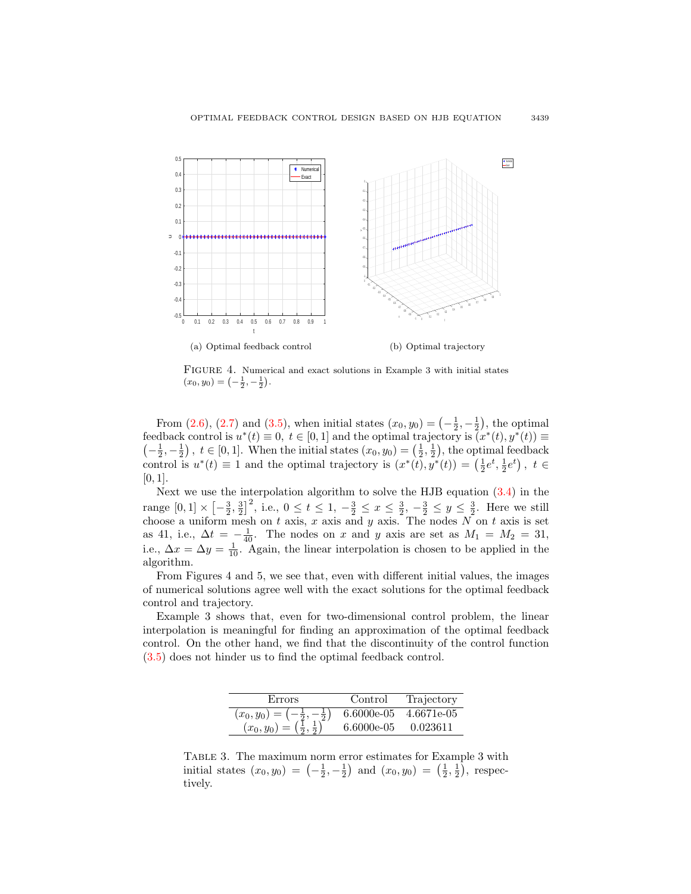

FIGURE 4. Numerical and exact solutions in Example 3 with initial states  $(x_0, y_0) = \left(-\frac{1}{2}, -\frac{1}{2}\right).$ 

From [\(2.6\)](#page-3-1), [\(2.7\)](#page-3-2) and [\(3.5\)](#page-9-0), when initial states  $(x_0, y_0) = \left(-\frac{1}{2}, -\frac{1}{2}\right)$ , the optimal feedback control is  $u^*(t) \equiv 0, t \in [0,1]$  and the optimal trajectory is  $\tilde{u}^*(t), y^*(t) \equiv$  $\left(-\frac{1}{2},-\frac{1}{2}\right)$ ,  $t \in [0,1]$ . When the initial states  $(x_0, y_0) = \left(\frac{1}{2},\frac{1}{2}\right)$ , the optimal feedback control is  $u^*(t) \equiv 1$  and the optimal trajectory is  $(x^*(t), y^*(t)) = (\frac{1}{2}e^t, \frac{1}{2}e^t)$ ,  $t \in$  $[0, 1]$ .

Next we use the interpolation algorithm to solve the HJB equation [\(3.4\)](#page-9-1) in the range  $[0,1] \times [-\frac{3}{2}, \frac{3}{2}]^2$ , i.e.,  $0 \le t \le 1, -\frac{3}{2} \le x \le \frac{3}{2}, -\frac{3}{2} \le y \le \frac{3}{2}$ . Here we still choose a uniform mesh on t axis, x axis and y axis. The nodes  $N$  on t axis is set as 41, i.e.,  $\Delta t = -\frac{1}{40}$ . The nodes on x and y axis are set as  $M_1 = M_2 = 31$ , i.e.,  $\Delta x = \Delta y = \frac{1}{10}$ . Again, the linear interpolation is chosen to be applied in the algorithm.

From Figures 4 and 5, we see that, even with different initial values, the images of numerical solutions agree well with the exact solutions for the optimal feedback control and trajectory.

Example 3 shows that, even for two-dimensional control problem, the linear interpolation is meaningful for finding an approximation of the optimal feedback control. On the other hand, we find that the discontinuity of the control function [\(3.5\)](#page-9-0) does not hinder us to find the optimal feedback control.

| Errors                            | Control      | Trajectory |
|-----------------------------------|--------------|------------|
| $(x_0,y_0)$ :<br>$\overline{2}$ . | $6.6000e-05$ | 4.6671e-05 |
| $(x_0, y_0)$                      | $6.6000e-05$ | 0.023611   |

Table 3. The maximum norm error estimates for Example 3 with initial states  $(x_0, y_0) = \left(-\frac{1}{2}, -\frac{1}{2}\right)$  and  $(x_0, y_0) = \left(\frac{1}{2}, \frac{1}{2}\right)$ , respectively.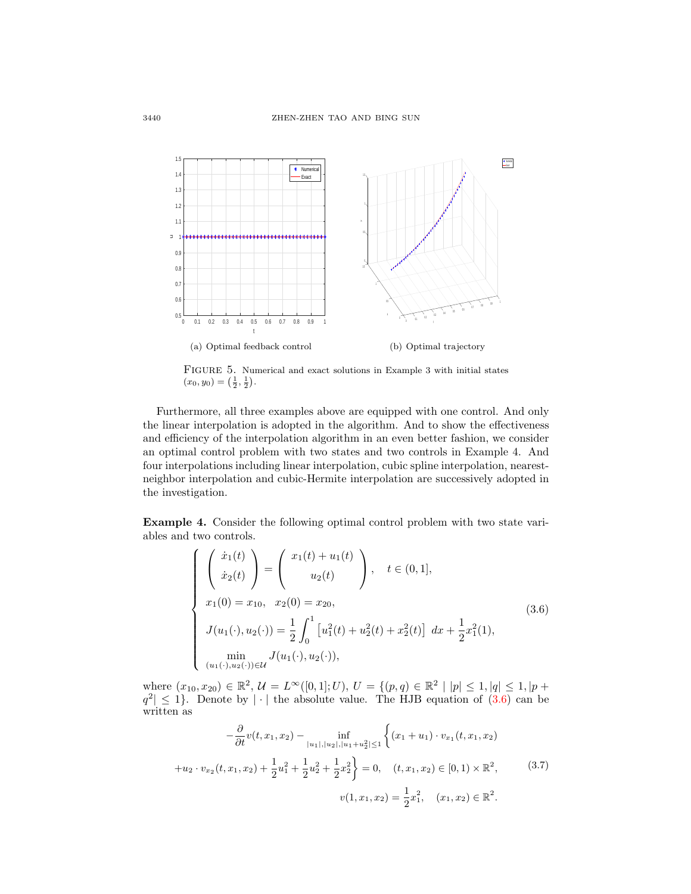

FIGURE 5. Numerical and exact solutions in Example 3 with initial states  $(x_0, y_0) = \left(\frac{1}{2}, \frac{1}{2}\right).$ 

Furthermore, all three examples above are equipped with one control. And only the linear interpolation is adopted in the algorithm. And to show the effectiveness and efficiency of the interpolation algorithm in an even better fashion, we consider an optimal control problem with two states and two controls in Example 4. And four interpolations including linear interpolation, cubic spline interpolation, nearestneighbor interpolation and cubic-Hermite interpolation are successively adopted in the investigation.

Example 4. Consider the following optimal control problem with two state variables and two controls.

<span id="page-11-0"></span>
$$
\begin{cases}\n\begin{pmatrix}\n\dot{x}_1(t) \\
\dot{x}_2(t)\n\end{pmatrix} = \begin{pmatrix}\nx_1(t) + u_1(t) \\
u_2(t)\n\end{pmatrix}, \quad t \in (0, 1], \\
x_1(0) = x_{10}, \quad x_2(0) = x_{20}, \\
J(u_1(\cdot), u_2(\cdot)) = \frac{1}{2} \int_0^1 \left[ u_1^2(t) + u_2^2(t) + x_2^2(t) \right] dx + \frac{1}{2} x_1^2(1), \\
\min_{(u_1(\cdot), u_2(\cdot)) \in \mathcal{U}} J(u_1(\cdot), u_2(\cdot)),\n\end{cases}
$$
\n(3.6)

where  $(x_{10}, x_{20}) \in \mathbb{R}^2$ ,  $\mathcal{U} = L^{\infty}([0, 1]; U)$ ,  $U = \{(p, q) \in \mathbb{R}^2 \mid |p| \leq 1, |q| \leq 1, |p +$  $|q^2| \leq 1$ . Denote by  $|\cdot|$  the absolute value. The HJB equation of [\(3.6\)](#page-11-0) can be written as

<span id="page-11-1"></span>
$$
-\frac{\partial}{\partial t}v(t, x_1, x_2) - \inf_{|u_1|, |u_2|, |u_1 + u_2^2| \le 1} \left\{ (x_1 + u_1) \cdot v_{x_1}(t, x_1, x_2) + u_2 \cdot v_{x_2}(t, x_1, x_2) + \frac{1}{2}u_1^2 + \frac{1}{2}u_2^2 + \frac{1}{2}x_2^2 \right\} = 0, \quad (t, x_1, x_2) \in [0, 1) \times \mathbb{R}^2,
$$
\n
$$
v(1, x_1, x_2) = \frac{1}{2}x_1^2, \quad (x_1, x_2) \in \mathbb{R}^2.
$$
\n
$$
(3.7)
$$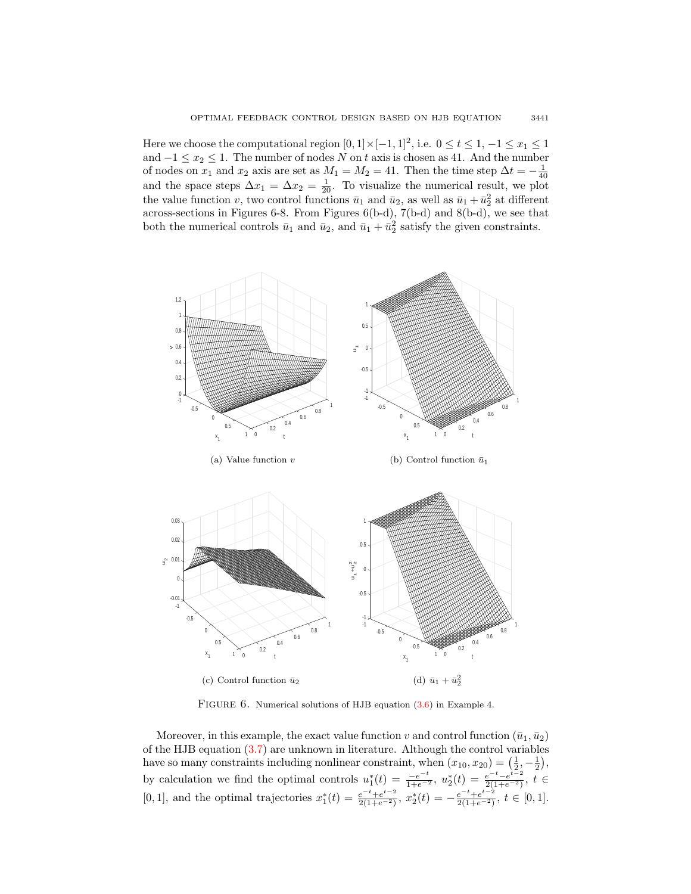Here we choose the computational region  $[0,1] \times [-1,1]^2$ , i.e.  $0 \le t \le 1, -1 \le x_1 \le 1$ and  $-1 \le x_2 \le 1$ . The number of nodes N on t axis is chosen as 41. And the number of nodes on  $x_1$  and  $x_2$  axis are set as  $M_1 = M_2 = 41$ . Then the time step  $\Delta t = -\frac{1}{40}$ and the space steps  $\Delta x_1 = \Delta x_2 = \frac{1}{20}$ . To visualize the numerical result, we plot the value function v, two control functions  $\bar{u}_1$  and  $\bar{u}_2$ , as well as  $\bar{u}_1 + \bar{u}_2^2$  at different across-sections in Figures 6-8. From Figures 6(b-d), 7(b-d) and 8(b-d), we see that both the numerical controls  $\bar{u}_1$  and  $\bar{u}_2$ , and  $\bar{u}_1 + \bar{u}_2^2$  satisfy the given constraints.



FIGURE  $6.$  Numerical solutions of HJB equation  $(3.6)$  in Example 4.

Moreover, in this example, the exact value function v and control function  $(\bar{u}_1, \bar{u}_2)$ of the HJB equation [\(3.7\)](#page-11-1) are unknown in literature. Although the control variables have so many constraints including nonlinear constraint, when  $(x_{10}, x_{20}) = (\frac{1}{2}, -\frac{1}{2}),$ by calculation we find the optimal controls  $u_1^*(t) = \frac{-e^{-t}}{1+e^{-2}}$ ,  $u_2^*(t) = \frac{e^{-t}-e^{t-2}}{2(1+e^{-2})}$  $\frac{e^{-t}-e^{t-2}}{2(1+e^{-2})}, t$  ∈ [0, 1], and the optimal trajectories  $x_1^*(t) = \frac{e^{-t} + e^{t-2}}{2(1+e^{-2})}$  $\frac{e^{-t}+e^{t-2}}{2(1+e^{-2})}, x_2^*(t) = -\frac{e^{-t}+e^{t-2}}{2(1+e^{-2})}$  $\frac{e^{-t}+e^{-2}}{2(1+e^{-2})}, t \in [0,1].$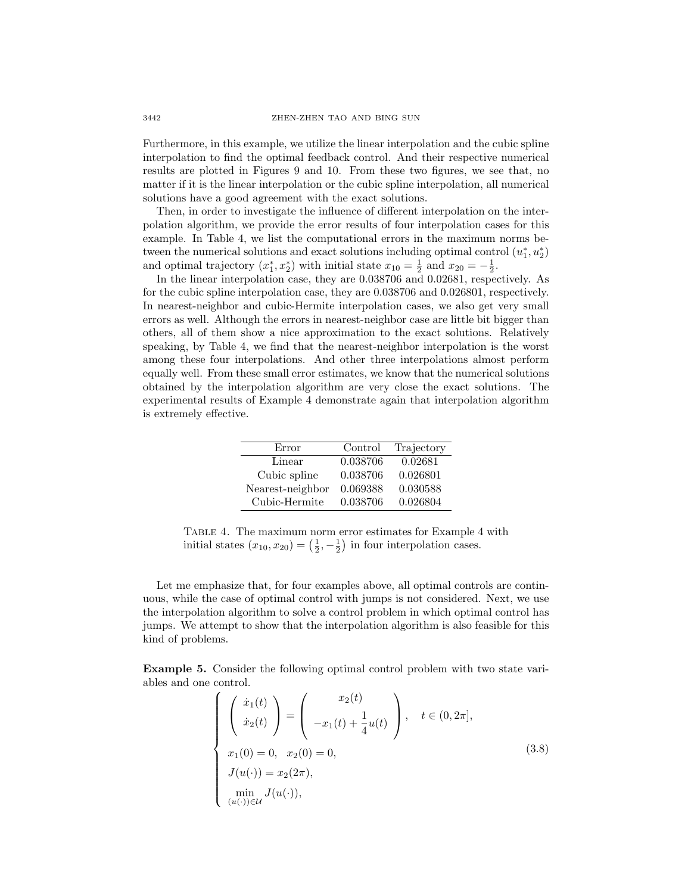Furthermore, in this example, we utilize the linear interpolation and the cubic spline interpolation to find the optimal feedback control. And their respective numerical results are plotted in Figures 9 and 10. From these two figures, we see that, no matter if it is the linear interpolation or the cubic spline interpolation, all numerical solutions have a good agreement with the exact solutions.

Then, in order to investigate the influence of different interpolation on the interpolation algorithm, we provide the error results of four interpolation cases for this example. In Table 4, we list the computational errors in the maximum norms between the numerical solutions and exact solutions including optimal control  $(u_1^*, u_2^*)$ and optimal trajectory  $(x_1^*, x_2^*)$  with initial state  $x_{10} = \frac{1}{2}$  and  $x_{20} = -\frac{1}{2}$ .

In the linear interpolation case, they are 0.038706 and 0.02681, respectively. As for the cubic spline interpolation case, they are 0.038706 and 0.026801, respectively. In nearest-neighbor and cubic-Hermite interpolation cases, we also get very small errors as well. Although the errors in nearest-neighbor case are little bit bigger than others, all of them show a nice approximation to the exact solutions. Relatively speaking, by Table 4, we find that the nearest-neighbor interpolation is the worst among these four interpolations. And other three interpolations almost perform equally well. From these small error estimates, we know that the numerical solutions obtained by the interpolation algorithm are very close the exact solutions. The experimental results of Example 4 demonstrate again that interpolation algorithm is extremely effective.

| Error            | Control  | Trajectory |
|------------------|----------|------------|
| Linear           | 0.038706 | 0.02681    |
| Cubic spline     | 0.038706 | 0.026801   |
| Nearest-neighbor | 0.069388 | 0.030588   |
| Cubic-Hermite    | 0.038706 | 0.026804   |

Table 4. The maximum norm error estimates for Example 4 with initial states  $(x_{10}, x_{20}) = (\frac{1}{2}, -\frac{1}{2})$  in four interpolation cases.

Let me emphasize that, for four examples above, all optimal controls are continuous, while the case of optimal control with jumps is not considered. Next, we use the interpolation algorithm to solve a control problem in which optimal control has jumps. We attempt to show that the interpolation algorithm is also feasible for this kind of problems.

<span id="page-13-0"></span>Example 5. Consider the following optimal control problem with two state variables and one control.

$$
\begin{cases}\n\begin{pmatrix}\n\dot{x}_1(t) \\
\dot{x}_2(t)\n\end{pmatrix} = \begin{pmatrix}\nx_2(t) \\
-x_1(t) + \frac{1}{4}u(t)\n\end{pmatrix}, \quad t \in (0, 2\pi], \\
x_1(0) = 0, \quad x_2(0) = 0, \\
J(u(\cdot)) = x_2(2\pi), \\
\min_{(u(\cdot)) \in \mathcal{U}} J(u(\cdot)),\n\end{cases}
$$
\n(3.8)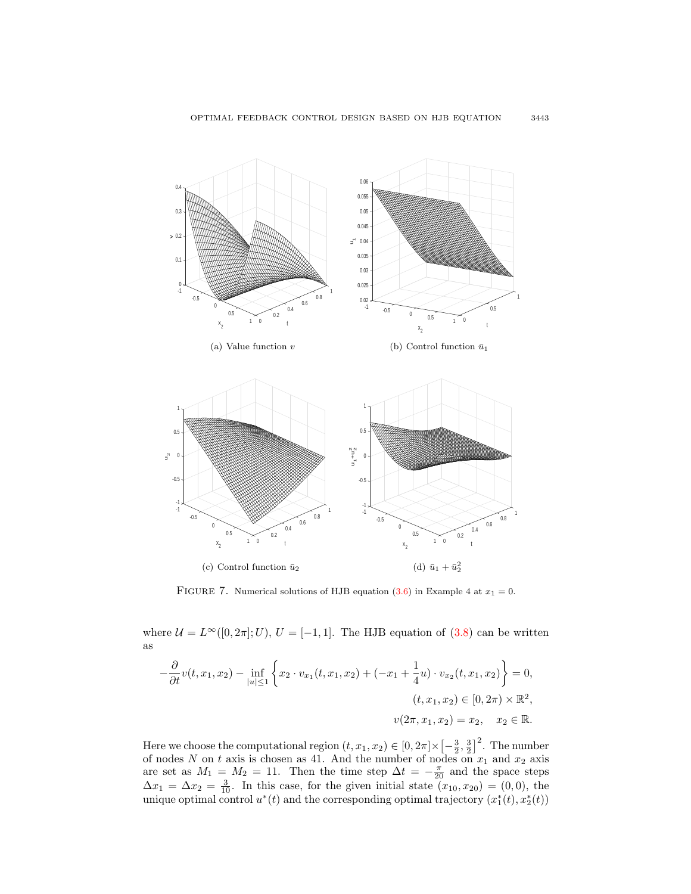

FIGURE 7. Numerical solutions of HJB equation [\(3.6\)](#page-11-0) in Example 4 at  $x_1 = 0$ .

where  $\mathcal{U} = L^{\infty}([0, 2\pi]; U), U = [-1, 1].$  The HJB equation of  $(3.8)$  can be written as

$$
-\frac{\partial}{\partial t}v(t, x_1, x_2) - \inf_{|u| \le 1} \left\{ x_2 \cdot v_{x_1}(t, x_1, x_2) + (-x_1 + \frac{1}{4}u) \cdot v_{x_2}(t, x_1, x_2) \right\} = 0,
$$
  

$$
(t, x_1, x_2) \in [0, 2\pi) \times \mathbb{R}^2,
$$
  

$$
v(2\pi, x_1, x_2) = x_2, \quad x_2 \in \mathbb{R}.
$$

Here we choose the computational region  $(t, x_1, x_2) \in [0, 2\pi] \times [-\frac{3}{2}, \frac{3}{2}]^2$ . The number of nodes N on t axis is chosen as 41. And the number of nodes on  $x_1$  and  $x_2$  axis are set as  $M_1 = M_2 = 11$ . Then the time step  $\Delta t = -\frac{\pi}{20}$  and the space steps  $\Delta x_1 = \Delta x_2 = \frac{3}{10}$ . In this case, for the given initial state  $(x_{10}, x_{20}) = (0, 0)$ , the unique optimal control  $u^*(t)$  and the corresponding optimal trajectory  $(x_1^*(t), x_2^*(t))$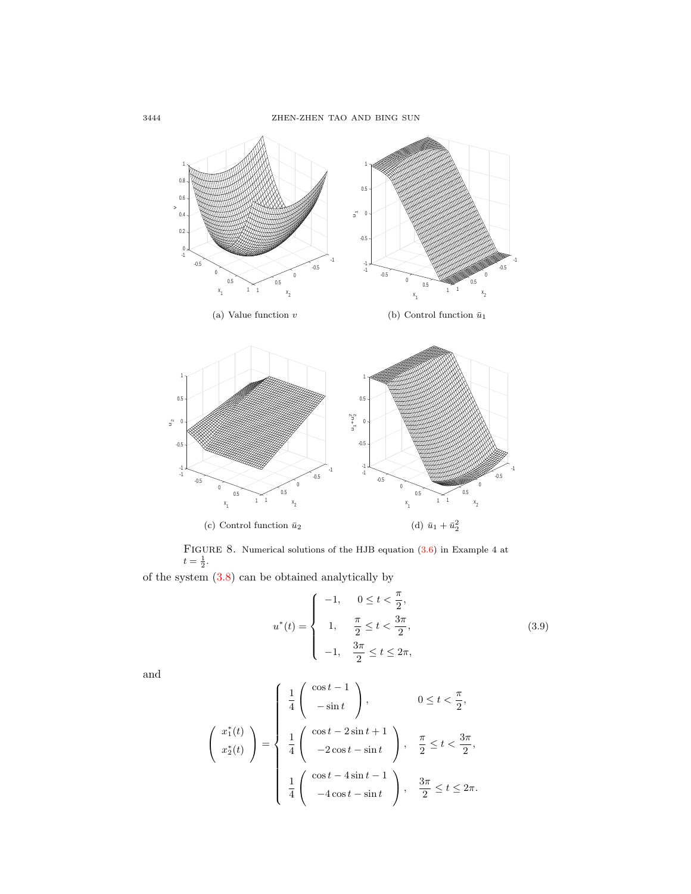

FIGURE 8. Numerical solutions of the HJB equation  $(3.6)$  in Example 4 at  $t = \frac{1}{2}$ .

of the system [\(3.8\)](#page-13-0) can be obtained analytically by

<span id="page-15-0"></span>
$$
u^*(t) = \begin{cases} -1, & 0 \le t < \frac{\pi}{2}, \\ 1, & \frac{\pi}{2} \le t < \frac{3\pi}{2}, \\ -1, & \frac{3\pi}{2} \le t \le 2\pi, \end{cases}
$$
(3.9)

and

$$
\begin{pmatrix}\n x_1^*(t) \\
 x_2^*(t)\n\end{pmatrix} = \begin{cases}\n \frac{1}{4} \begin{pmatrix}\n \cos t - 1 \\
 -\sin t\n\end{pmatrix}, & 0 \le t < \frac{\pi}{2}, \\
 \frac{1}{4} \begin{pmatrix}\n \cos t - 2\sin t + 1 \\
 -2\cos t - \sin t\n\end{pmatrix}, & \frac{\pi}{2} \le t < \frac{3\pi}{2}, \\
 \frac{1}{4} \begin{pmatrix}\n \cos t - 4\sin t - 1 \\
 -4\cos t - \sin t\n\end{pmatrix}, & \frac{3\pi}{2} \le t \le 2\pi.\n\end{cases}
$$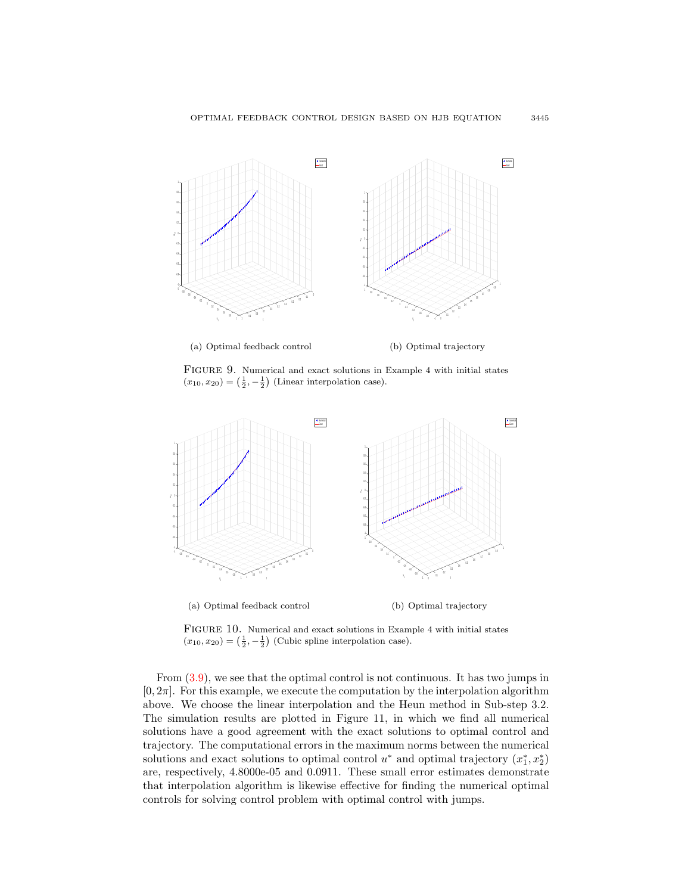

FIGURE 9. Numerical and exact solutions in Example 4 with initial states  $(x_{10}, x_{20}) = \left(\frac{1}{2}, -\frac{1}{2}\right)$  (Linear interpolation case).



FIGURE 10. Numerical and exact solutions in Example 4 with initial states  $(x_{10}, x_{20}) = \left(\frac{1}{2}, -\frac{1}{2}\right)$  (Cubic spline interpolation case).

From [\(3.9\)](#page-15-0), we see that the optimal control is not continuous. It has two jumps in  $[0, 2\pi]$ . For this example, we execute the computation by the interpolation algorithm above. We choose the linear interpolation and the Heun method in Sub-step 3.2. The simulation results are plotted in Figure 11, in which we find all numerical solutions have a good agreement with the exact solutions to optimal control and trajectory. The computational errors in the maximum norms between the numerical solutions and exact solutions to optimal control  $u^*$  and optimal trajectory  $(x_1^*, x_2^*)$ are, respectively, 4.8000e-05 and 0.0911. These small error estimates demonstrate that interpolation algorithm is likewise effective for finding the numerical optimal controls for solving control problem with optimal control with jumps.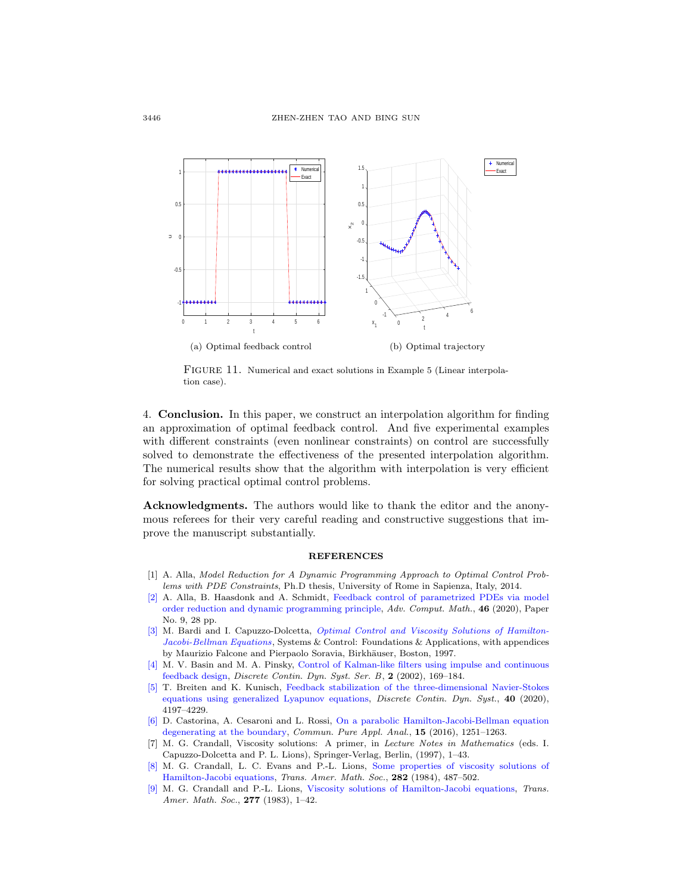

FIGURE 11. Numerical and exact solutions in Example 5 (Linear interpolation case).

4. Conclusion. In this paper, we construct an interpolation algorithm for finding an approximation of optimal feedback control. And five experimental examples with different constraints (even nonlinear constraints) on control are successfully solved to demonstrate the effectiveness of the presented interpolation algorithm. The numerical results show that the algorithm with interpolation is very efficient for solving practical optimal control problems.

Acknowledgments. The authors would like to thank the editor and the anonymous referees for their very careful reading and constructive suggestions that improve the manuscript substantially.

### REFERENCES

- <span id="page-17-6"></span>[1] A. Alla, Model Reduction for A Dynamic Programming Approach to Optimal Control Problems with PDE Constraints, Ph.D thesis, University of Rome in Sapienza, Italy, 2014.
- <span id="page-17-8"></span>[\[2\]](http://www.ams.org/mathscinet-getitem?mr=MR4064372&return=pdf) A. Alla, B. Haasdonk and A. Schmidt, [Feedback control of parametrized PDEs via model](http://dx.doi.org/10.1007/s10444-020-09744-8) [order reduction and dynamic programming principle,](http://dx.doi.org/10.1007/s10444-020-09744-8) Adv. Comput. Math., 46 (2020), Paper No. 9, 28 pp.
- <span id="page-17-3"></span>[\[3\]](http://www.ams.org/mathscinet-getitem?mr=MR1484411&return=pdf) M. Bardi and I. Capuzzo-Dolcetta, [Optimal Control and Viscosity Solutions of Hamilton-](http://dx.doi.org/10.1007/978-0-8176-4755-1)[Jacobi-Bellman Equations](http://dx.doi.org/10.1007/978-0-8176-4755-1), Systems & Control: Foundations & Applications, with appendices by Maurizio Falcone and Pierpaolo Soravia, Birkhäuser, Boston, 1997.
- <span id="page-17-5"></span>[\[4\]](http://www.ams.org/mathscinet-getitem?mr=MR1898135&return=pdf) M. V. Basin and M. A. Pinsky, [Control of Kalman-like filters using impulse and continuous](http://dx.doi.org/10.3934/dcdsb.2002.2.169) [feedback design,](http://dx.doi.org/10.3934/dcdsb.2002.2.169) Discrete Contin. Dyn. Syst. Ser. B, 2 (2002), 169–184.
- <span id="page-17-7"></span>[\[5\]](http://www.ams.org/mathscinet-getitem?mr=MR4097541&return=pdf) T. Breiten and K. Kunisch, [Feedback stabilization of the three-dimensional Navier-Stokes](http://dx.doi.org/10.3934/dcds.2020178) [equations using generalized Lyapunov equations,](http://dx.doi.org/10.3934/dcds.2020178) *Discrete Contin. Dyn. Syst.*, 40 (2020), 4197–4229.
- <span id="page-17-4"></span>[\[6\]](http://www.ams.org/mathscinet-getitem?mr=MR3503655&return=pdf) D. Castorina, A. Cesaroni and L. Rossi, [On a parabolic Hamilton-Jacobi-Bellman equation](http://dx.doi.org/10.3934/cpaa.2016.15.1251) [degenerating at the boundary,](http://dx.doi.org/10.3934/cpaa.2016.15.1251) Commun. Pure Appl. Anal., 15 (2016), 1251–1263.
- <span id="page-17-0"></span>[7] M. G. Crandall, Viscosity solutions: A primer, in Lecture Notes in Mathematics (eds. I. Capuzzo-Dolcetta and P. L. Lions), Springer-Verlag, Berlin, (1997), 1–43.
- <span id="page-17-1"></span>[\[8\]](http://www.ams.org/mathscinet-getitem?mr=MR732102&return=pdf) M. G. Crandall, L. C. Evans and P.-L. Lions, [Some properties of viscosity solutions of](http://dx.doi.org/10.1090/S0002-9947-1984-0732102-X) [Hamilton-Jacobi equations,](http://dx.doi.org/10.1090/S0002-9947-1984-0732102-X) Trans. Amer. Math. Soc., 282 (1984), 487–502.
- <span id="page-17-2"></span>[\[9\]](http://www.ams.org/mathscinet-getitem?mr=MR690039&return=pdf) M. G. Crandall and P.-L. Lions, [Viscosity solutions of Hamilton-Jacobi equations,](http://dx.doi.org/10.1090/S0002-9947-1983-0690039-8) Trans. Amer. Math. Soc., 277 (1983), 1-42.